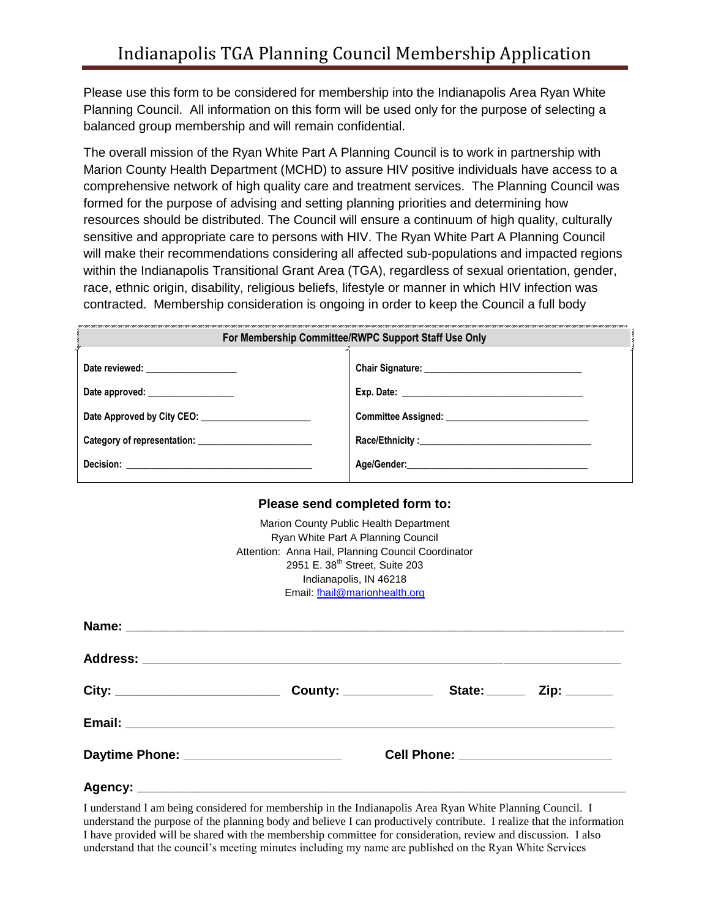Please use this form to be considered for membership into the Indianapolis Area Ryan White Planning Council. All information on this form will be used only for the purpose of selecting a balanced group membership and will remain confidential.

The overall mission of the Ryan White Part A Planning Council is to work in partnership with Marion County Health Department (MCHD) to assure HIV positive individuals have access to a comprehensive network of high quality care and treatment services. The Planning Council was formed for the purpose of advising and setting planning priorities and determining how resources should be distributed. The Council will ensure a continuum of high quality, culturally sensitive and appropriate care to persons with HIV. The Ryan White Part A Planning Council will make their recommendations considering all affected sub-populations and impacted regions within the Indianapolis Transitional Grant Area (TGA), regardless of sexual orientation, gender, race, ethnic origin, disability, religious beliefs, lifestyle or manner in which HIV infection was contracted. Membership consideration is ongoing in order to keep the Council a full body

| For Membership Committee/RWPC Support Staff Use Only |                                                                                                      |  |  |  |
|------------------------------------------------------|------------------------------------------------------------------------------------------------------|--|--|--|
| Date reviewed: __________________                    |                                                                                                      |  |  |  |
| Date approved:                                       |                                                                                                      |  |  |  |
|                                                      |                                                                                                      |  |  |  |
|                                                      |                                                                                                      |  |  |  |
|                                                      | Age/Gender: Age/Gender: Age/Gender: Age/Gender: Age/Gender: Age/Gender: Age/Gender: Age/Gender: Age/ |  |  |  |
|                                                      |                                                                                                      |  |  |  |

#### **Please send completed form to:**

|                                         | Marion County Public Health Department<br>Ryan White Part A Planning Council<br>Attention: Anna Hail, Planning Council Coordinator<br>2951 E. 38 <sup>th</sup> Street, Suite 203                                                    |                     |  |
|-----------------------------------------|-------------------------------------------------------------------------------------------------------------------------------------------------------------------------------------------------------------------------------------|---------------------|--|
|                                         | Indianapolis, IN 46218<br>Email: fhail@marionhealth.org                                                                                                                                                                             |                     |  |
|                                         |                                                                                                                                                                                                                                     |                     |  |
|                                         | Address: <u>Address:</u> Address: Address: Address: Address: Address: Address: Address: Address: Address: Address: Address: Address: Address: Address: Address: Address: Address: Address: Address: Address: Address: Address: Addr |                     |  |
|                                         |                                                                                                                                                                                                                                     | County: State: Zip: |  |
|                                         |                                                                                                                                                                                                                                     |                     |  |
| Daytime Phone: ________________________ | Cell Phone: ________________________                                                                                                                                                                                                |                     |  |
|                                         |                                                                                                                                                                                                                                     |                     |  |

I understand I am being considered for membership in the Indianapolis Area Ryan White Planning Council. I understand the purpose of the planning body and believe I can productively contribute. I realize that the information I have provided will be shared with the membership committee for consideration, review and discussion. I also understand that the council's meeting minutes including my name are published on the Ryan White Services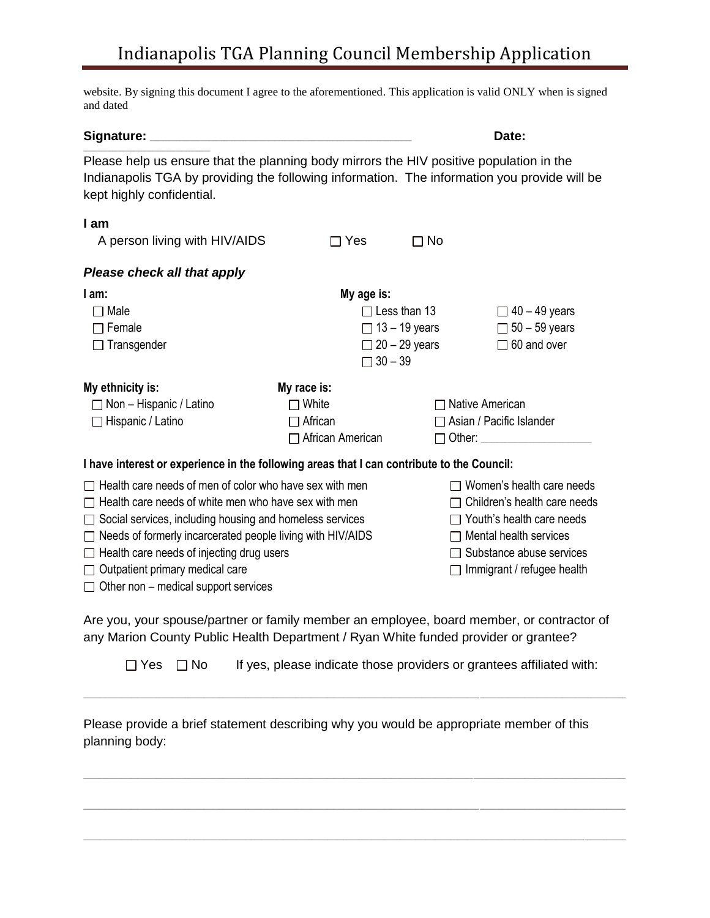## Indianapolis TGA Planning Council Membership Application

website. By signing this document I agree to the aforementioned. This application is valid ONLY when is signed and dated

#### **Signature:** \_\_\_\_\_\_\_\_\_\_\_\_\_\_\_\_\_\_\_\_\_\_\_\_\_\_\_\_\_\_\_\_\_\_\_\_\_\_\_\_\_\_\_\_\_\_\_\_\_\_\_\_\_\_\_\_\_\_\_\_\_\_\_\_\_\_\_\_\_\_\_\_\_\_\_\_\_\_\_\_\_\_\_\_\_\_\_\_\_\_\_\_\_\_\_\_\_\_\_ **Date:**

 $\mathcal{L}_\text{max}$  and  $\mathcal{L}_\text{max}$  and  $\mathcal{L}_\text{max}$  and  $\mathcal{L}_\text{max}$ 

Please help us ensure that the planning body mirrors the HIV positive population in the Indianapolis TGA by providing the following information. The information you provide will be kept highly confidential.

### **I am**

| A person living with HIV/AIDS                                                              |                         | Yes            | $\Box$ No            |                                 |
|--------------------------------------------------------------------------------------------|-------------------------|----------------|----------------------|---------------------------------|
| Please check all that apply                                                                |                         |                |                      |                                 |
| l am:                                                                                      |                         | My age is:     |                      |                                 |
| $\Box$ Male                                                                                |                         |                | $\Box$ Less than 13  | $\Box$ 40 – 49 years            |
| $\Box$ Female                                                                              |                         |                | $\Box$ 13 – 19 years | $\Box$ 50 – 59 years            |
| $\Box$ Transgender                                                                         |                         |                | $\Box$ 20 – 29 years | $\Box$ 60 and over              |
|                                                                                            |                         | $\Box$ 30 - 39 |                      |                                 |
| My ethnicity is:                                                                           | My race is:             |                |                      |                                 |
| $\Box$ Non – Hispanic / Latino                                                             | $\Box$ White            |                |                      | $\Box$ Native American          |
| $\Box$ Hispanic / Latino                                                                   | $\Box$ African          |                |                      | $\Box$ Asian / Pacific Islander |
|                                                                                            | $\Box$ African American |                |                      | $\Box$ Other:                   |
| I have interest or experience in the following areas that I can contribute to the Council: |                         |                |                      |                                 |

| $\Box$ Health care needs of men of color who have sex with men    | $\Box$ Women's health care needs    |
|-------------------------------------------------------------------|-------------------------------------|
| $\Box$ Health care needs of white men who have sex with men       | $\Box$ Children's health care needs |
| $\Box$ Social services, including housing and homeless services   | $\Box$ Youth's health care needs    |
| $\Box$ Needs of formerly incarcerated people living with HIV/AIDS | $\Box$ Mental health services       |
| $\Box$ Health care needs of injecting drug users                  | $\Box$ Substance abuse services     |
| $\Box$ Outpatient primary medical care                            | $\Box$ Immigrant / refugee health   |
| $\Box$ Other non – medical support services                       |                                     |

Are you, your spouse/partner or family member an employee, board member, or contractor of any Marion County Public Health Department / Ryan White funded provider or grantee?

 $\Box$  Yes  $\Box$  No If yes, please indicate those providers or grantees affiliated with:

 $\_$  , and the state of the state of the state of the state of the state of the state of the state of the state of the state of the state of the state of the state of the state of the state of the state of the state of the

 $\_$  , and the state of the state of the state of the state of the state of the state of the state of the state of the state of the state of the state of the state of the state of the state of the state of the state of the

 $\_$  , and the state of the state of the state of the state of the state of the state of the state of the state of the state of the state of the state of the state of the state of the state of the state of the state of the

\_\_\_\_\_\_\_\_\_\_\_\_\_\_\_\_\_\_\_\_\_\_\_\_\_\_\_\_\_\_\_\_\_\_\_\_\_\_\_\_\_\_\_\_\_\_\_\_\_\_\_\_\_\_\_\_\_\_\_\_\_\_\_\_\_\_\_\_\_\_\_\_\_\_\_\_\_\_\_\_\_\_\_\_\_\_\_\_\_\_\_\_\_\_\_\_\_\_\_\_\_\_\_\_\_\_\_\_\_\_\_\_\_\_\_\_\_\_\_\_\_\_\_\_\_\_\_\_\_\_\_\_\_\_\_\_\_\_\_\_\_\_\_\_\_\_\_\_\_\_\_\_\_\_\_\_\_\_ \_\_\_\_\_\_\_\_\_\_\_\_\_

Please provide a brief statement describing why you would be appropriate member of this planning body: